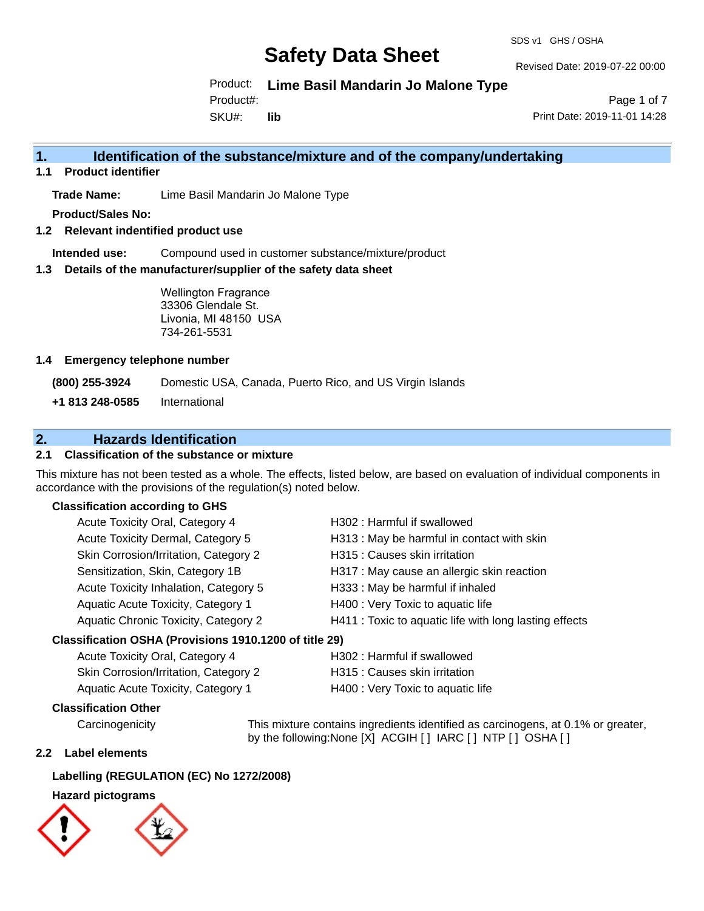#### SDS v1 GHS / OSHA

# **Safety Data Sheet**

Revised Date: 2019-07-22 00:00

Product: **Lime Basil Mandarin Jo Malone Type**

Product#:

SKU#: **lib**

Page 1 of 7 Print Date: 2019-11-01 14:28

### **1. Identification of the substance/mixture and of the company/undertaking**

**1.1 Product identifier**

**Trade Name:** Lime Basil Mandarin Jo Malone Type

**Product/Sales No:**

**1.2 Relevant indentified product use**

**Intended use:** Compound used in customer substance/mixture/product

**1.3 Details of the manufacturer/supplier of the safety data sheet**

Wellington Fragrance 33306 Glendale St. Livonia, MI 48150 USA 734-261-5531

#### **1.4 Emergency telephone number**

**(800) 255-3924** Domestic USA, Canada, Puerto Rico, and US Virgin Islands

**+1 813 248-0585** International

## **2. Hazards Identification**

#### **2.1 Classification of the substance or mixture**

This mixture has not been tested as a whole. The effects, listed below, are based on evaluation of individual components in accordance with the provisions of the regulation(s) noted below.

#### **Classification according to GHS**

| Acute Toxicity Oral, Category 4                      | H302: Harmful if swallowed                             |
|------------------------------------------------------|--------------------------------------------------------|
| Acute Toxicity Dermal, Category 5                    | H313: May be harmful in contact with skin              |
| Skin Corrosion/Irritation, Category 2                | H315 : Causes skin irritation                          |
| Sensitization, Skin, Category 1B                     | H317 : May cause an allergic skin reaction             |
| Acute Toxicity Inhalation, Category 5                | H333: May be harmful if inhaled                        |
| Aquatic Acute Toxicity, Category 1                   | H400 : Very Toxic to aquatic life                      |
| Aquatic Chronic Toxicity, Category 2                 | H411 : Toxic to aquatic life with long lasting effects |
| resification OSHA (Provisions 1910 1200 of title 29) |                                                        |

#### **Classification OSHA (Provisions 1910.1200 of title 29)**

| Acute Toxicity Oral, Category 4       | H302 : Harmful if swallowed       |
|---------------------------------------|-----------------------------------|
| Skin Corrosion/Irritation, Category 2 | H315 : Causes skin irritation     |
| Aquatic Acute Toxicity, Category 1    | H400 : Very Toxic to aquatic life |
|                                       |                                   |

#### **Classification Other**

Carcinogenicity This mixture contains ingredients identified as carcinogens, at 0.1% or greater, by the following:None [X] ACGIH [ ] IARC [ ] NTP [ ] OSHA [ ]

#### **2.2 Label elements**

### **Labelling (REGULATION (EC) No 1272/2008)**

# **Hazard pictograms**

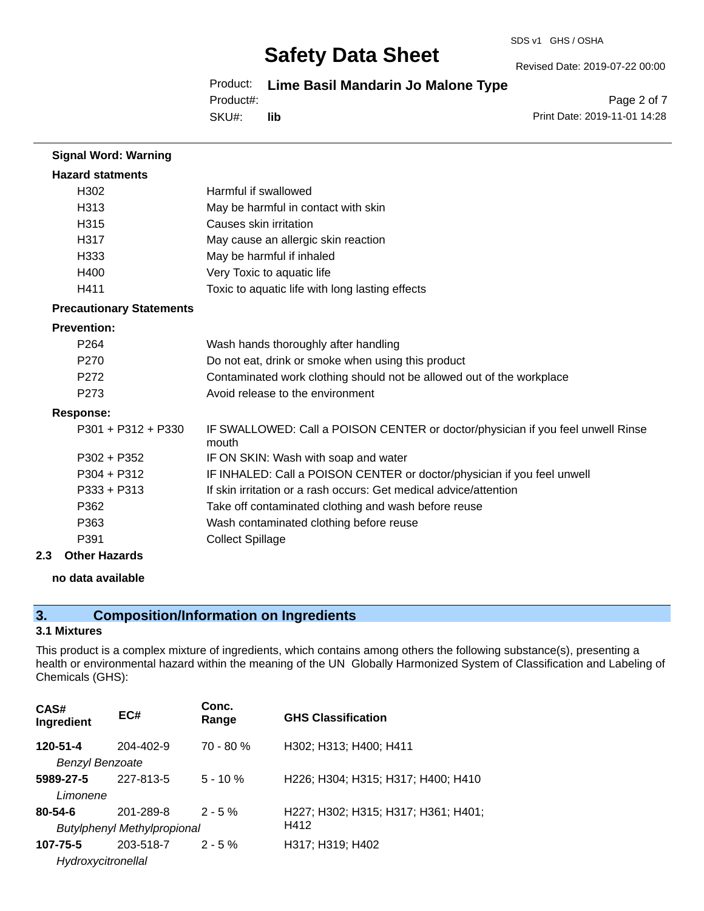Revised Date: 2019-07-22 00:00

### Product: **Lime Basil Mandarin Jo Malone Type**

Product#:

SKU#: **lib**

Page 2 of 7 Print Date: 2019-11-01 14:28

| <b>Signal Word: Warning</b>     |                                                                                          |
|---------------------------------|------------------------------------------------------------------------------------------|
| <b>Hazard statments</b>         |                                                                                          |
| H302                            | Harmful if swallowed                                                                     |
| H313                            | May be harmful in contact with skin                                                      |
| H315                            | Causes skin irritation                                                                   |
| H317                            | May cause an allergic skin reaction                                                      |
| H333                            | May be harmful if inhaled                                                                |
| H400                            | Very Toxic to aquatic life                                                               |
| H411                            | Toxic to aquatic life with long lasting effects                                          |
| <b>Precautionary Statements</b> |                                                                                          |
| <b>Prevention:</b>              |                                                                                          |
| P <sub>264</sub>                | Wash hands thoroughly after handling                                                     |
| P <sub>270</sub>                | Do not eat, drink or smoke when using this product                                       |
| P272                            | Contaminated work clothing should not be allowed out of the workplace                    |
| P273                            | Avoid release to the environment                                                         |
| <b>Response:</b>                |                                                                                          |
| $P301 + P312 + P330$            | IF SWALLOWED: Call a POISON CENTER or doctor/physician if you feel unwell Rinse<br>mouth |
| $P302 + P352$                   | IF ON SKIN: Wash with soap and water                                                     |
| $P304 + P312$                   | IF INHALED: Call a POISON CENTER or doctor/physician if you feel unwell                  |
| $P333 + P313$                   | If skin irritation or a rash occurs: Get medical advice/attention                        |
| P362                            | Take off contaminated clothing and wash before reuse                                     |
| P363                            | Wash contaminated clothing before reuse                                                  |
| P391                            | <b>Collect Spillage</b>                                                                  |

#### **2.3 Other Hazards**

#### **no data available**

# **3. Composition/Information on Ingredients**

#### **3.1 Mixtures**

This product is a complex mixture of ingredients, which contains among others the following substance(s), presenting a health or environmental hazard within the meaning of the UN Globally Harmonized System of Classification and Labeling of Chemicals (GHS):

| CAS#<br>Ingredient     | EC#                                | Conc.<br>Range | <b>GHS Classification</b>           |  |
|------------------------|------------------------------------|----------------|-------------------------------------|--|
| 120-51-4               | 204-402-9                          | $70 - 80 \%$   | H302; H313; H400; H411              |  |
| <b>Benzyl Benzoate</b> |                                    |                |                                     |  |
| 5989-27-5              | 227-813-5                          | $5 - 10 \%$    | H226; H304; H315; H317; H400; H410  |  |
| Limonene               |                                    |                |                                     |  |
| $80 - 54 - 6$          | 201-289-8                          | $2 - 5%$       | H227; H302; H315; H317; H361; H401; |  |
|                        | <b>Butylphenyl Methylpropional</b> |                | H412                                |  |
| 107-75-5               | 203-518-7                          | $2 - 5%$       | H317; H319; H402                    |  |
| Hydroxycitronellal     |                                    |                |                                     |  |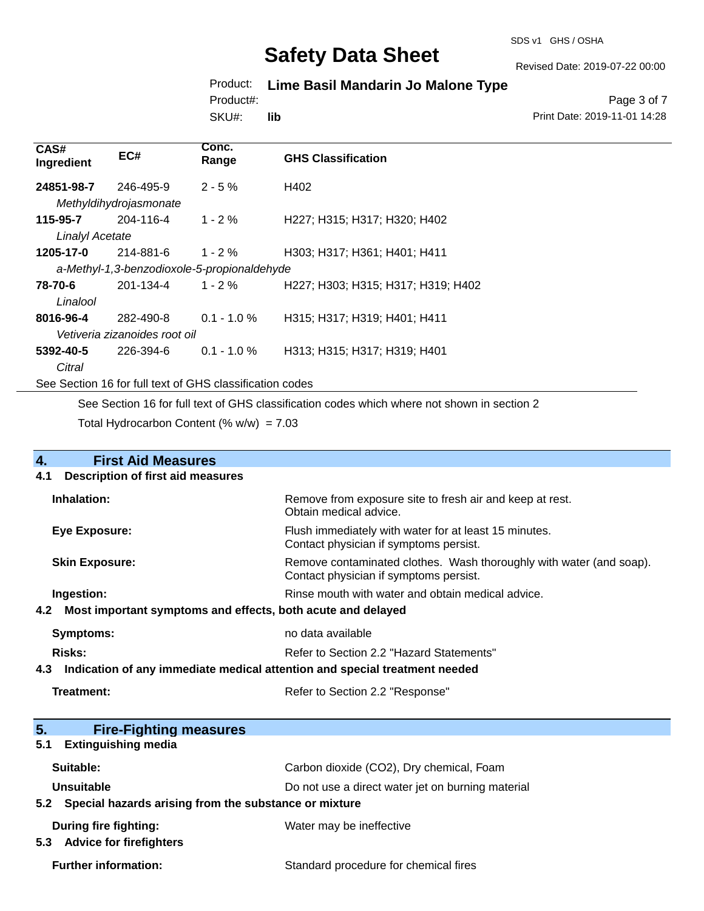#### SDS v1 GHS / OSHA

# **Safety Data Sheet**

Revised Date: 2019-07-22 00:00

## Product: **Lime Basil Mandarin Jo Malone Type**

Product#:

SKU#: **lib**

Page 3 of 7 Print Date: 2019-11-01 14:28

| CAS#<br>Ingredient                                       | EC#                    | Conc.<br>Range | <b>GHS Classification</b>          |
|----------------------------------------------------------|------------------------|----------------|------------------------------------|
| 24851-98-7                                               | 246-495-9              | $2 - 5%$       | H402                               |
|                                                          | Methyldihydrojasmonate |                |                                    |
| 115-95-7                                                 | 204-116-4              | $1 - 2 \%$     | H227; H315; H317; H320; H402       |
| <b>Linalyl Acetate</b>                                   |                        |                |                                    |
| 1205-17-0                                                | 214-881-6              | 1 - 2 $%$      | H303; H317; H361; H401; H411       |
| a-Methyl-1,3-benzodioxole-5-propionaldehyde              |                        |                |                                    |
| 78-70-6                                                  | 201-134-4              | $1 - 2 \%$     | H227; H303; H315; H317; H319; H402 |
| Linalool                                                 |                        |                |                                    |
| 8016-96-4                                                | 282-490-8              | $0.1 - 1.0 %$  | H315; H317; H319; H401; H411       |
| Vetiveria zizanoides root oil                            |                        |                |                                    |
| 5392-40-5                                                | 226-394-6              | $0.1 - 1.0 \%$ | H313; H315; H317; H319; H401       |
| Citral                                                   |                        |                |                                    |
| See Section 16 for full text of GHS classification codes |                        |                |                                    |

See Section 16 for full text of GHS classification codes which where not shown in section 2

Total Hydrocarbon Content (%  $w/w$ ) = 7.03

| $\overline{4}$ . | <b>First Aid Measures</b>                                                  |                                                                                                               |  |
|------------------|----------------------------------------------------------------------------|---------------------------------------------------------------------------------------------------------------|--|
| 4.1              | <b>Description of first aid measures</b>                                   |                                                                                                               |  |
|                  | Inhalation:                                                                | Remove from exposure site to fresh air and keep at rest.<br>Obtain medical advice.                            |  |
|                  | Eye Exposure:                                                              | Flush immediately with water for at least 15 minutes.<br>Contact physician if symptoms persist.               |  |
|                  | <b>Skin Exposure:</b>                                                      | Remove contaminated clothes. Wash thoroughly with water (and soap).<br>Contact physician if symptoms persist. |  |
|                  | Ingestion:                                                                 | Rinse mouth with water and obtain medical advice.                                                             |  |
| 4.2              | Most important symptoms and effects, both acute and delayed                |                                                                                                               |  |
|                  | <b>Symptoms:</b>                                                           | no data available                                                                                             |  |
|                  | <b>Risks:</b>                                                              | Refer to Section 2.2 "Hazard Statements"                                                                      |  |
| 4.3              | Indication of any immediate medical attention and special treatment needed |                                                                                                               |  |
|                  | Treatment:                                                                 | Refer to Section 2.2 "Response"                                                                               |  |
| 5 <sub>1</sub>   | <b>Fire-Fighting measures</b>                                              |                                                                                                               |  |
| 5.1              | <b>Extinguishing media</b>                                                 |                                                                                                               |  |
|                  | Suitable:                                                                  | Carbon dioxide (CO2), Dry chemical, Foam                                                                      |  |
|                  | <b>Unsuitable</b>                                                          | Do not use a direct water jet on burning material                                                             |  |
| 5.2              | Special hazards arising from the substance or mixture                      |                                                                                                               |  |
| 5.3              | <b>During fire fighting:</b><br><b>Advice for firefighters</b>             | Water may be ineffective                                                                                      |  |

Further information: **Further information:** Standard procedure for chemical fires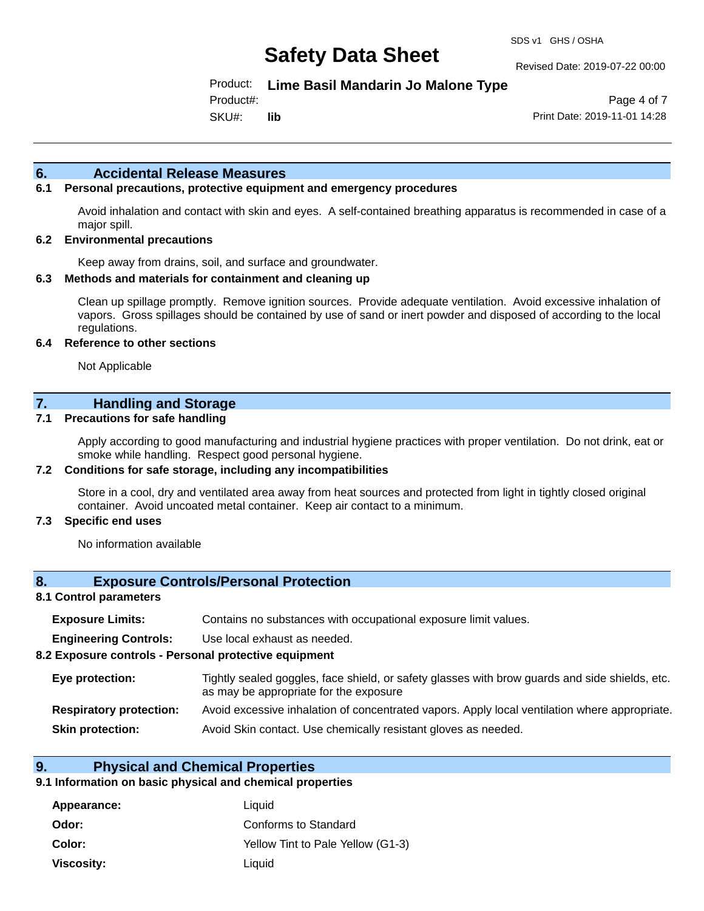Revised Date: 2019-07-22 00:00

Product: **Lime Basil Mandarin Jo Malone Type**

Product#:

SKU#: **lib**

Page 4 of 7 Print Date: 2019-11-01 14:28

#### **6. Accidental Release Measures**

#### **6.1 Personal precautions, protective equipment and emergency procedures**

Avoid inhalation and contact with skin and eyes. A self-contained breathing apparatus is recommended in case of a major spill.

#### **6.2 Environmental precautions**

Keep away from drains, soil, and surface and groundwater.

#### **6.3 Methods and materials for containment and cleaning up**

Clean up spillage promptly. Remove ignition sources. Provide adequate ventilation. Avoid excessive inhalation of vapors. Gross spillages should be contained by use of sand or inert powder and disposed of according to the local regulations.

#### **6.4 Reference to other sections**

Not Applicable

### **7. Handling and Storage**

#### **7.1 Precautions for safe handling**

Apply according to good manufacturing and industrial hygiene practices with proper ventilation. Do not drink, eat or smoke while handling. Respect good personal hygiene.

#### **7.2 Conditions for safe storage, including any incompatibilities**

Store in a cool, dry and ventilated area away from heat sources and protected from light in tightly closed original container. Avoid uncoated metal container. Keep air contact to a minimum.

#### **7.3 Specific end uses**

No information available

#### **8. Exposure Controls/Personal Protection**

#### **8.1 Control parameters**

| <b>Exposure Limits:</b> | Contains no substances with occupational exposure limit values. |  |  |
|-------------------------|-----------------------------------------------------------------|--|--|
|-------------------------|-----------------------------------------------------------------|--|--|

**Engineering Controls:** Use local exhaust as needed.

#### **8.2 Exposure controls - Personal protective equipment**

| Eye protection:                | Tightly sealed goggles, face shield, or safety glasses with brow guards and side shields, etc.<br>as may be appropriate for the exposure |
|--------------------------------|------------------------------------------------------------------------------------------------------------------------------------------|
| <b>Respiratory protection:</b> | Avoid excessive inhalation of concentrated vapors. Apply local ventilation where appropriate.                                            |
| <b>Skin protection:</b>        | Avoid Skin contact. Use chemically resistant gloves as needed.                                                                           |

#### **9. Physical and Chemical Properties**

#### **9.1 Information on basic physical and chemical properties**

| Appearance:       | Liquid                            |
|-------------------|-----------------------------------|
| Odor:             | Conforms to Standard              |
| Color:            | Yellow Tint to Pale Yellow (G1-3) |
| <b>Viscosity:</b> | Liquid                            |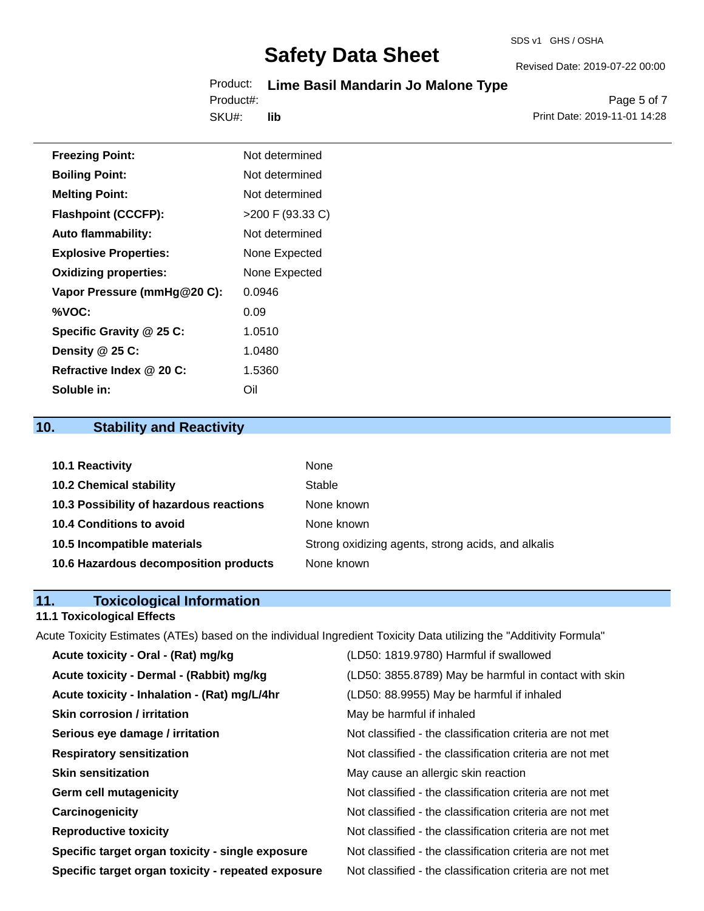# Product: **Lime Basil Mandarin Jo Malone Type**

SKU#: Product#: **lib**

Page 5 of 7 Print Date: 2019-11-01 14:28

Revised Date: 2019-07-22 00:00

| <b>Freezing Point:</b>       | Not determined     |
|------------------------------|--------------------|
| <b>Boiling Point:</b>        | Not determined     |
| <b>Melting Point:</b>        | Not determined     |
| <b>Flashpoint (CCCFP):</b>   | $>200$ F (93.33 C) |
| <b>Auto flammability:</b>    | Not determined     |
| <b>Explosive Properties:</b> | None Expected      |
| <b>Oxidizing properties:</b> | None Expected      |
| Vapor Pressure (mmHg@20 C):  | 0.0946             |
| %VOC:                        | 0.09               |
| Specific Gravity @ 25 C:     | 1.0510             |
| Density @ 25 C:              | 1.0480             |
| Refractive Index @ 20 C:     | 1.5360             |
| Soluble in:                  | Oil                |

# **10. Stability and Reactivity**

| 10.1 Reactivity                         | <b>None</b>                                        |
|-----------------------------------------|----------------------------------------------------|
| <b>10.2 Chemical stability</b>          | Stable                                             |
| 10.3 Possibility of hazardous reactions | None known                                         |
| <b>10.4 Conditions to avoid</b>         | None known                                         |
| 10.5 Incompatible materials             | Strong oxidizing agents, strong acids, and alkalis |
| 10.6 Hazardous decomposition products   | None known                                         |

# **11. Toxicological Information**

# **11.1 Toxicological Effects**

Acute Toxicity Estimates (ATEs) based on the individual Ingredient Toxicity Data utilizing the "Additivity Formula"

| Acute toxicity - Oral - (Rat) mg/kg                | (LD50: 1819.9780) Harmful if swallowed                   |
|----------------------------------------------------|----------------------------------------------------------|
| Acute toxicity - Dermal - (Rabbit) mg/kg           | (LD50: 3855.8789) May be harmful in contact with skin    |
| Acute toxicity - Inhalation - (Rat) mg/L/4hr       | (LD50: 88.9955) May be harmful if inhaled                |
| <b>Skin corrosion / irritation</b>                 | May be harmful if inhaled                                |
| Serious eye damage / irritation                    | Not classified - the classification criteria are not met |
| <b>Respiratory sensitization</b>                   | Not classified - the classification criteria are not met |
| <b>Skin sensitization</b>                          | May cause an allergic skin reaction                      |
| <b>Germ cell mutagenicity</b>                      | Not classified - the classification criteria are not met |
| Carcinogenicity                                    | Not classified - the classification criteria are not met |
| <b>Reproductive toxicity</b>                       | Not classified - the classification criteria are not met |
| Specific target organ toxicity - single exposure   | Not classified - the classification criteria are not met |
| Specific target organ toxicity - repeated exposure | Not classified - the classification criteria are not met |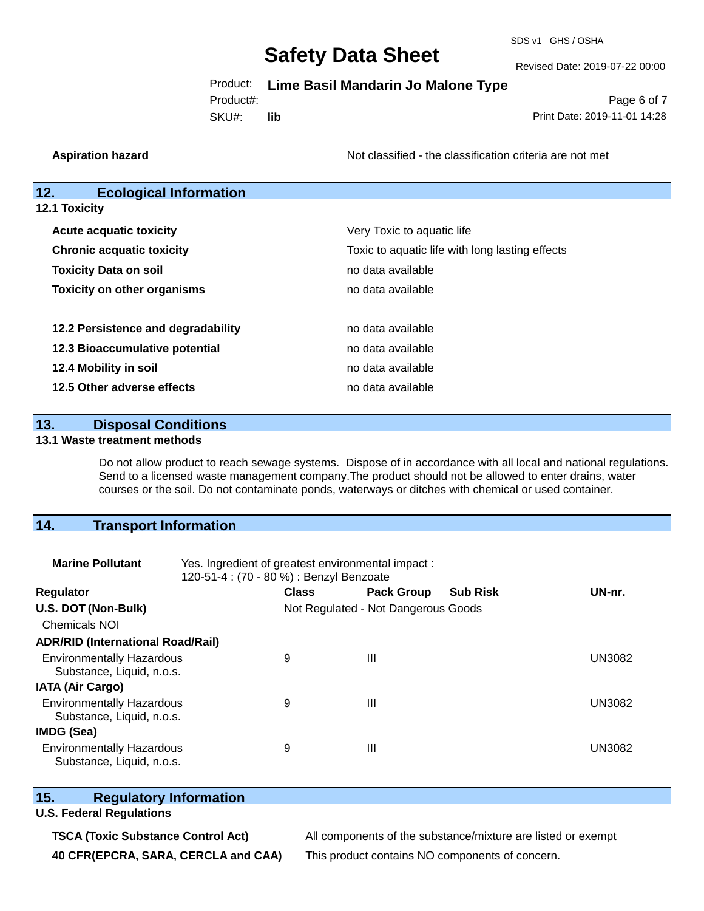SDS v1 GHS / OSHA

Revised Date: 2019-07-22 00:00

Page 6 of 7

Product: **Lime Basil Mandarin Jo Malone Type**

Product#:

SKU#: **lib** Print Date: 2019-11-01 14:28

**Aspiration hazard Not classified - the classification criteria are not met** Not classified - the classification criteria are not met

### **12. Ecological Information**

**12.1 Toxicity**

| <b>Acute acquatic toxicity</b>     | Very Toxic to aquatic life                      |  |  |
|------------------------------------|-------------------------------------------------|--|--|
| <b>Chronic acquatic toxicity</b>   | Toxic to aquatic life with long lasting effects |  |  |
| <b>Toxicity Data on soil</b>       | no data available                               |  |  |
| <b>Toxicity on other organisms</b> | no data available                               |  |  |
|                                    |                                                 |  |  |
| 12.2 Persistence and degradability | no data available                               |  |  |
| 12.3 Bioaccumulative potential     | no data available                               |  |  |
| 12.4 Mobility in soil              | no data available                               |  |  |
| 12.5 Other adverse effects         | no data available                               |  |  |

#### **13. Disposal Conditions**

#### **13.1 Waste treatment methods**

Do not allow product to reach sewage systems. Dispose of in accordance with all local and national regulations. Send to a licensed waste management company.The product should not be allowed to enter drains, water courses or the soil. Do not contaminate ponds, waterways or ditches with chemical or used container.

### **14. Transport Information**

| <b>Marine Pollutant</b>                                       | Yes. Ingredient of greatest environmental impact:<br>120-51-4 : (70 - 80 %) : Benzyl Benzoate |              |                                     |                 |               |  |  |
|---------------------------------------------------------------|-----------------------------------------------------------------------------------------------|--------------|-------------------------------------|-----------------|---------------|--|--|
| Regulator                                                     |                                                                                               | <b>Class</b> | <b>Pack Group</b>                   | <b>Sub Risk</b> | UN-nr.        |  |  |
| U.S. DOT (Non-Bulk)                                           |                                                                                               |              | Not Regulated - Not Dangerous Goods |                 |               |  |  |
| <b>Chemicals NOI</b>                                          |                                                                                               |              |                                     |                 |               |  |  |
| <b>ADR/RID (International Road/Rail)</b>                      |                                                                                               |              |                                     |                 |               |  |  |
| <b>Environmentally Hazardous</b><br>Substance, Liquid, n.o.s. |                                                                                               | 9            | $\mathbf{III}$                      |                 | <b>UN3082</b> |  |  |
| <b>IATA (Air Cargo)</b>                                       |                                                                                               |              |                                     |                 |               |  |  |
| <b>Environmentally Hazardous</b><br>Substance, Liquid, n.o.s. |                                                                                               | 9            | $\mathbf{III}$                      |                 | <b>UN3082</b> |  |  |
| IMDG (Sea)                                                    |                                                                                               |              |                                     |                 |               |  |  |
| <b>Environmentally Hazardous</b><br>Substance, Liquid, n.o.s. |                                                                                               | 9            | $\mathbf{III}$                      |                 | <b>UN3082</b> |  |  |

### **15. Regulatory Information**

#### **U.S. Federal Regulations**

**TSCA (Toxic Substance Control Act)** All components of the substance/mixture are listed or exempt **40 CFR(EPCRA, SARA, CERCLA and CAA)** This product contains NO components of concern.